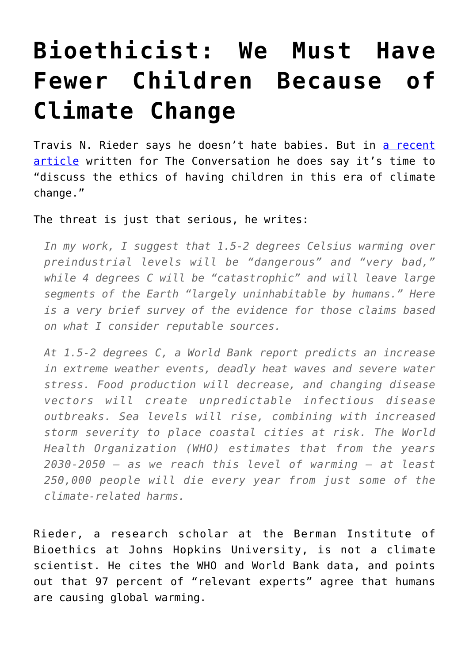## **[Bioethicist: We Must Have](https://intellectualtakeout.org/2016/09/bioethicist-we-must-have-fewer-children-because-of-climate-change/) [Fewer Children Because of](https://intellectualtakeout.org/2016/09/bioethicist-we-must-have-fewer-children-because-of-climate-change/) [Climate Change](https://intellectualtakeout.org/2016/09/bioethicist-we-must-have-fewer-children-because-of-climate-change/)**

Travis N. Rieder says he doesn't hate babies. But in [a recent](https://theconversation.com/bioethicist-the-climate-crisis-calls-for-fewer-children-65014) [article](https://theconversation.com/bioethicist-the-climate-crisis-calls-for-fewer-children-65014) written for The Conversation he does say it's time to "discuss the ethics of having children in this era of climate change."

The threat is just that serious, he writes:

*In my work, I suggest that 1.5-2 degrees Celsius warming over preindustrial levels will be "dangerous" and "very bad," while 4 degrees C will be "catastrophic" and will leave large segments of the Earth "largely uninhabitable by humans." Here is a very brief survey of the evidence for those claims based on what I consider reputable sources.*

*At 1.5-2 degrees C, a World Bank report predicts an increase in extreme weather events, deadly heat waves and severe water stress. Food production will decrease, and changing disease vectors will create unpredictable infectious disease outbreaks. Sea levels will rise, combining with increased storm severity to place coastal cities at risk. The World Health Organization (WHO) estimates that from the years 2030-2050 – as we reach this level of warming – at least 250,000 people will die every year from just some of the climate-related harms.*

Rieder, a research scholar at the Berman Institute of Bioethics at Johns Hopkins University, is not a climate scientist. He cites the WHO and World Bank data, and points out that 97 percent of "relevant experts" agree that humans are causing global warming.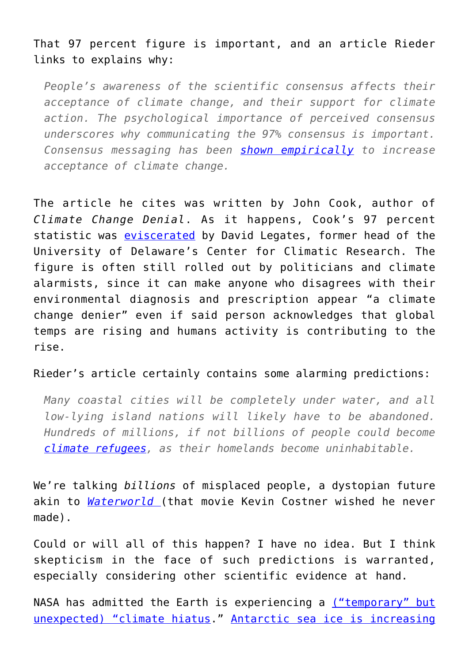## That 97 percent figure is important, and an article Rieder links to explains why:

*People's awareness of the scientific consensus affects their acceptance of climate change, and their support for climate action. The psychological importance of perceived consensus underscores why communicating the 97% consensus is important. Consensus messaging has been [shown empirically](http://www.nature.com/nclimate/journal/v1/n9/full/nclimate1295.html) to increase acceptance of climate change.*

The article he cites was written by John Cook, author of *Climate Change Denial*. As it happens, Cook's 97 percent statistic was [eviscerated](http://www.nationalreview.com/article/425232/climate-change-no-its-not-97-percent-consensus-ian-tuttle) by David Legates, former head of the University of Delaware's Center for Climatic Research. The figure is often still rolled out by politicians and climate alarmists, since it can make anyone who disagrees with their environmental diagnosis and prescription appear "a climate change denier" even if said person acknowledges that global temps are rising and humans activity is contributing to the rise.

## Rieder's article certainly contains some alarming predictions:

*Many coastal cities will be completely under water, and all low-lying island nations will likely have to be abandoned. Hundreds of millions, if not billions of people could become [climate refugees](https://theconversation.com/how-should-we-compensate-poor-countries-for-loss-and-damage-from-climate-change-55612), as their homelands become uninhabitable.* 

We're talking *billions* of misplaced people, a dystopian future akin to *[Waterworld](https://www.amazon.com/Waterworld-Kevin-Costner/dp/B002PSZF6E/ref=sr_1_1?ie=UTF8&qid=1474057532&sr=8-1&keywords=waterworld)* (that movie Kevin Costner wished he never made).

Could or will all of this happen? I have no idea. But I think skepticism in the face of such predictions is warranted, especially considering other scientific evidence at hand.

NASA has admitted the Earth is experiencing a [\("temporary" but](http://climate.nasa.gov/news/1141/hiatus-in-rise-of-earths-surface-air-temperature-likely-temporary/) [unexpected\) "climate hiatus.](http://climate.nasa.gov/news/1141/hiatus-in-rise-of-earths-surface-air-temperature-likely-temporary/)" [Antarctic sea ice is increasing](http://www.sciencealert.com/as-sea-ice-around-antarctica-melts-the-southern-ocean-is-becoming-fresher)